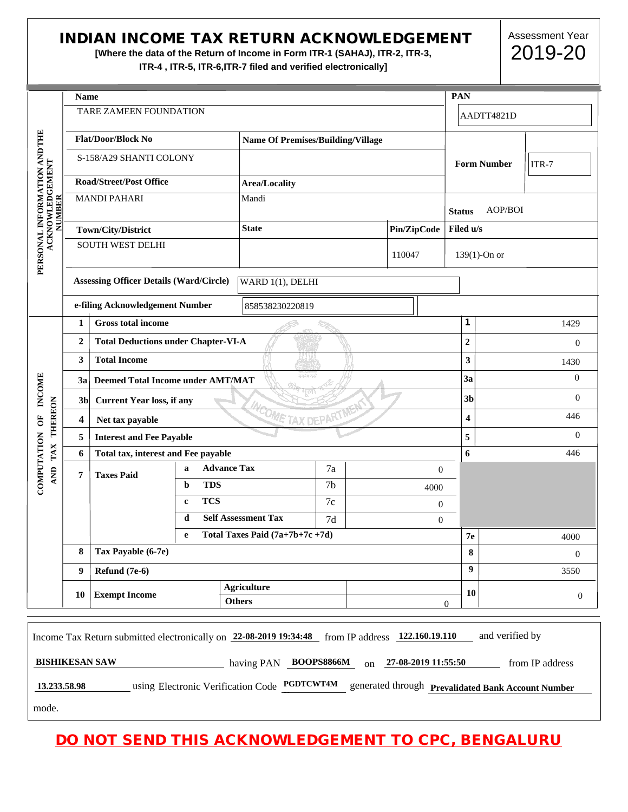## INDIAN INCOME TAX RETURN ACKNOWLEDGEMENT

**[Where the data of the Return of Income in Form ITR-1 (SAHAJ), ITR-2, ITR-3, ITR-4 , ITR-5, ITR-6,ITR-7 filed and verified electronically]**

Assessment Year 2019-20

|                                                 |                  | <b>Name</b>                                                                                      |                                          |                                                       |                  |                  |                     | PAN              |                 |                                                    |
|-------------------------------------------------|------------------|--------------------------------------------------------------------------------------------------|------------------------------------------|-------------------------------------------------------|------------------|------------------|---------------------|------------------|-----------------|----------------------------------------------------|
|                                                 |                  | TARE ZAMEEN FOUNDATION                                                                           |                                          |                                                       |                  |                  |                     |                  | AADTT4821D      |                                                    |
|                                                 |                  | <b>Flat/Door/Block No</b>                                                                        | <b>Name Of Premises/Building/Village</b> |                                                       |                  |                  |                     |                  |                 |                                                    |
|                                                 |                  | S-158/A29 SHANTI COLONY                                                                          |                                          |                                                       |                  |                  | <b>Form Number</b>  | ITR-7            |                 |                                                    |
|                                                 |                  | <b>Road/Street/Post Office</b>                                                                   |                                          | <b>Area/Locality</b>                                  |                  |                  |                     |                  |                 |                                                    |
| <b>NUMBER</b>                                   |                  | <b>MANDI PAHARI</b>                                                                              | Mandi                                    |                                                       |                  | <b>Status</b>    | AOP/BOI             |                  |                 |                                                    |
| PERSONAL INFORMATION AND THE<br>ACKNOWLEDGEMENT |                  | Town/City/District                                                                               |                                          | <b>State</b><br>Pin/ZipCode                           |                  |                  | Filed u/s           |                  |                 |                                                    |
|                                                 |                  | <b>SOUTH WEST DELHI</b>                                                                          |                                          |                                                       | 110047           |                  | $139(1)$ -On or     |                  |                 |                                                    |
|                                                 |                  | <b>Assessing Officer Details (Ward/Circle)</b>                                                   |                                          |                                                       | WARD 1(1), DELHI |                  |                     |                  |                 |                                                    |
|                                                 |                  | e-filing Acknowledgement Number                                                                  |                                          | 858538230220819                                       |                  |                  |                     |                  |                 |                                                    |
|                                                 | $\mathbf{1}$     | <b>Gross total income</b>                                                                        |                                          |                                                       |                  |                  |                     | $\mathbf 1$      |                 | 1429                                               |
|                                                 | $\boldsymbol{2}$ | <b>Total Deductions under Chapter-VI-A</b>                                                       |                                          |                                                       |                  | $\boldsymbol{2}$ |                     | $\boldsymbol{0}$ |                 |                                                    |
|                                                 | 3                | <b>Total Income</b>                                                                              |                                          |                                                       |                  | 3                | 1430                |                  |                 |                                                    |
|                                                 | 3a               | सन्दर्भन थस्पतेः<br><b>Deemed Total Income under AMT/MAT</b>                                     |                                          |                                                       |                  |                  | 3a                  | $\overline{0}$   |                 |                                                    |
| INCOME                                          |                  | 3 <sub>b</sub><br><b>Current Year loss, if any</b>                                               |                                          |                                                       |                  |                  | 3 <sub>b</sub>      | $\mathbf{0}$     |                 |                                                    |
| THEREON<br>$\overline{5}$                       | 4                | <b>COME TAX DEPAN</b><br>Net tax payable                                                         |                                          |                                                       |                  |                  | 4                   | 446              |                 |                                                    |
|                                                 | 5                | <b>Interest and Fee Payable</b>                                                                  |                                          |                                                       |                  |                  |                     | 5                | $\overline{0}$  |                                                    |
| TAX                                             | 6                | Total tax, interest and Fee payable                                                              |                                          |                                                       |                  | 6                |                     | 446              |                 |                                                    |
| COMPUTATION<br><b>AND</b>                       | 7                | <b>Taxes Paid</b>                                                                                | <b>Advance Tax</b><br>a                  |                                                       | 7a               |                  | $\boldsymbol{0}$    |                  |                 |                                                    |
|                                                 |                  |                                                                                                  | <b>TDS</b><br>b                          |                                                       | 7 <sub>b</sub>   |                  | 4000                |                  |                 |                                                    |
|                                                 |                  |                                                                                                  | <b>TCS</b><br>$\mathbf c$                |                                                       | $7\mathrm{c}$    |                  | $\mathbf{0}$        |                  |                 |                                                    |
|                                                 |                  |                                                                                                  | d                                        | <b>Self Assessment Tax</b>                            | 7d               |                  | $\overline{0}$      |                  |                 |                                                    |
|                                                 |                  |                                                                                                  | e                                        | Total Taxes Paid (7a+7b+7c +7d)                       |                  |                  |                     |                  | 7e              | 4000                                               |
|                                                 | 8                | Tax Payable (6-7e)                                                                               |                                          |                                                       |                  |                  |                     |                  | 8               | $\boldsymbol{0}$                                   |
|                                                 | 9                | Refund (7e-6)                                                                                    |                                          |                                                       |                  | $\boldsymbol{9}$ |                     | 3550             |                 |                                                    |
|                                                 | 10               | <b>Exempt Income</b>                                                                             |                                          | <b>Agriculture</b><br><b>Others</b><br>$\overline{0}$ |                  |                  | 10                  | $\mathbf{0}$     |                 |                                                    |
|                                                 |                  |                                                                                                  |                                          |                                                       |                  |                  |                     |                  |                 |                                                    |
|                                                 |                  | Income Tax Return submitted electronically on 22-08-2019 19:34:48 from IP address 122.160.19.110 |                                          |                                                       |                  |                  |                     |                  | and verified by |                                                    |
| <b>BISHIKESAN SAW</b>                           |                  |                                                                                                  |                                          | having PAN BOOPS8866M                                 |                  | on               | 27-08-2019 11:55:50 |                  |                 | from IP address                                    |
| 13.233.58.98                                    |                  |                                                                                                  |                                          | using Electronic Verification Code PGDTCWT4M          |                  |                  |                     |                  |                 | generated through Prevalidated Bank Account Number |

|                       | <b>Others</b>                                                       |                                                    |                 |
|-----------------------|---------------------------------------------------------------------|----------------------------------------------------|-----------------|
|                       |                                                                     |                                                    |                 |
|                       |                                                                     |                                                    |                 |
|                       | Income Tax Return submitted electronically on $22-08-2019$ 19:34:48 | from IP address 122.160.19.110                     | and verified by |
| <b>BISHIKESAN SAW</b> | <b>BOOPS8866M</b><br>having PAN                                     | 27-08-2019 11:55:50<br>$\alpha$                    | from IP address |
| 13.233.58.98          | using Electronic Verification Code PGDTCWT4M                        | generated through Prevalidated Bank Account Number |                 |
| mode.                 |                                                                     |                                                    |                 |

DO NOT SEND THIS ACKNOWLEDGEMENT TO CPC, BENGALURU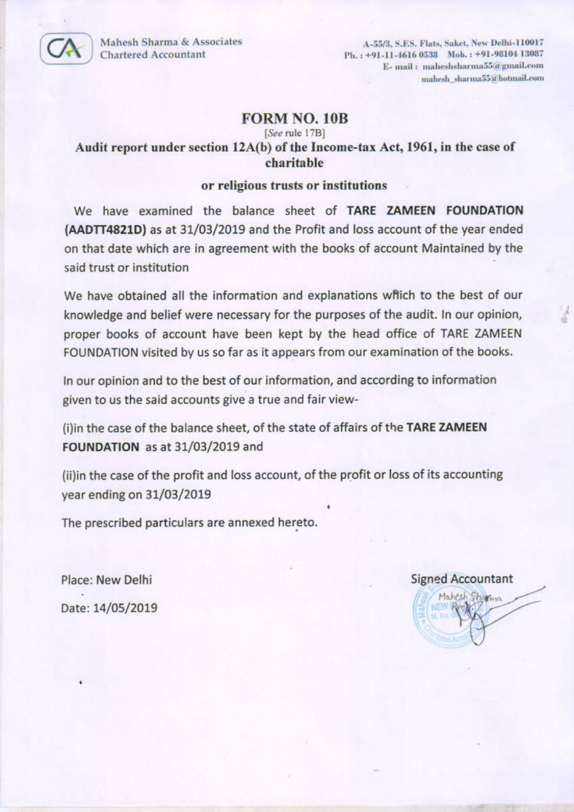Mahesh Sharma & Associates **Chartered Accountant** 

A-55/3, S.F.S. Flats, Saket, New Delhi-110017 Ph.: +91-11-4616 0538 Mob.: +91-98104 13087 E- mail: maheshsharma55@gmail.com mahesh sharma55@hotmail.com

## **FORM NO. 10B**

## [See rule 17B] Audit report under section 12A(b) of the Income-tax Act, 1961, in the case of charitable

### or religious trusts or institutions

We have examined the balance sheet of TARE ZAMEEN FOUNDATION (AADTT4821D) as at 31/03/2019 and the Profit and loss account of the year ended on that date which are in agreement with the books of account Maintained by the said trust or institution

We have obtained all the information and explanations which to the best of our knowledge and belief were necessary for the purposes of the audit. In our opinion, proper books of account have been kept by the head office of TARE ZAMEEN FOUNDATION visited by us so far as it appears from our examination of the books.

In our opinion and to the best of our information, and according to information given to us the said accounts give a true and fair view-

(i)in the case of the balance sheet, of the state of affairs of the TARE ZAMEEN FOUNDATION as at 31/03/2019 and

(ii)in the case of the profit and loss account, of the profit or loss of its accounting year ending on 31/03/2019

The prescribed particulars are annexed hereto.

Place: New Delhi Date: 14/05/2019

## **Signed Accountant**

Mahesh Stigning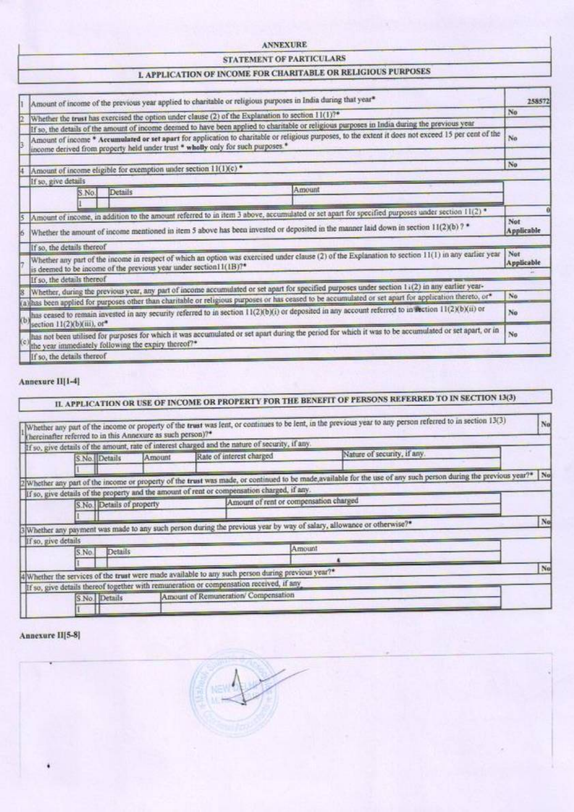#### **ANNEXURE**

### STATEMENT OF PARTICULARS

## **L APPLICATION OF INCOME FOR CHARITABLE OR RELIGIOUS PURPOSES**

| Amount of income of the previous year applied to charitable or religious purposes in India during that year*                                                                                                                                                                                          | 258572            |
|-------------------------------------------------------------------------------------------------------------------------------------------------------------------------------------------------------------------------------------------------------------------------------------------------------|-------------------|
| Whether the trust has exercised the option under clause (2) of the Explanation to section 11(1)?*                                                                                                                                                                                                     | No                |
| If so, the details of the amount of income deemed to have been applied to charitable or religious purposes in India during the previous year                                                                                                                                                          |                   |
| Amount of income * Accumulated or set apart for application to charitable or religious purposes, to the extent it does not exceed 15 per cent of the<br>income derived from property held under trust * wholly only for such purposes *                                                               | No                |
| Amount of income eligible for exemption under section $11(1)(c)$ <sup>*</sup>                                                                                                                                                                                                                         | No                |
| If so, give details                                                                                                                                                                                                                                                                                   |                   |
| Amount<br><b>Details</b><br>S.No.                                                                                                                                                                                                                                                                     |                   |
|                                                                                                                                                                                                                                                                                                       |                   |
| Amount of income, in addition to the amount referred to in item 3 above, accumulated or set apart for specified purposes under section 11(2) *<br>Whether the amount of income mentioned in item 5 above has been invested or deposited in the manner laid down in section $11(2)(b)$ ?               | Not<br>Applicable |
| If so, the details thereof                                                                                                                                                                                                                                                                            |                   |
| Whether any part of the income in respect of which an option was exercised under clause (2) of the Explanation to section 11(1) in any earlier year<br>is deemed to be income of the previous year under section11(1B)?*                                                                              | Not<br>Applicable |
| If so, the details thereof                                                                                                                                                                                                                                                                            |                   |
| Whether, during the previous year, any part of income accumulated or set apart for specified purposes under section 1 (2) in any earlier year-<br>has been applied for purposes other than charitable or religious purposes or has ceased to be accumulated or set apart for application thereto, or* | No                |
| has ceased to remain invested in any security referred to in section 11(2)(b)(i) or deposited in any account referred to in fection 11(2)(b)(ii) or                                                                                                                                                   | No                |
| section 11(2)(b)(iii), or*                                                                                                                                                                                                                                                                            |                   |
| has not been utilised for purposes for which it was accumulated or set apart during the period for which it was to be accumulated or set apart, or in<br>the year immediately following the expiry thereof?*                                                                                          | No                |
| If so, the details thereof                                                                                                                                                                                                                                                                            |                   |

#### Annexure II[1-4]

# IL APPLICATION OR USE OF INCOME OR PROPERTY FOR THE BENEFIT OF PERSONS REFERRED TO IN SECTION 13(3)

|                     |                           | If so, give details of the amount, rate of interest charged and the nature of security, if any.                                 |                                                                                                                                                                     |    |
|---------------------|---------------------------|---------------------------------------------------------------------------------------------------------------------------------|---------------------------------------------------------------------------------------------------------------------------------------------------------------------|----|
| S.No. Details       | Amount                    | Rate of interest charged                                                                                                        | Nature of security, if any.                                                                                                                                         |    |
|                     |                           |                                                                                                                                 | 2 Whether any part of the income or property of the trust was made, or continued to be made, available for the use of any such person during the previous year?* No |    |
|                     |                           | If so, give details of the property and the amount of rent or compensation charged, if any.                                     |                                                                                                                                                                     |    |
|                     | S.No. Details of property | Amount of rent or compensation charged                                                                                          |                                                                                                                                                                     |    |
|                     |                           | 3 Whether any payment was made to any such person during the previous year by way of salazy, allowance or otherwise?*           |                                                                                                                                                                     | No |
| If so, give details |                           |                                                                                                                                 |                                                                                                                                                                     |    |
|                     |                           | Amount                                                                                                                          |                                                                                                                                                                     |    |
| S.No.               | Details                   |                                                                                                                                 |                                                                                                                                                                     |    |
|                     |                           |                                                                                                                                 |                                                                                                                                                                     |    |
|                     |                           | 4) Whether the services of the trust were made available to any such person during previous year?*                              |                                                                                                                                                                     | No |
|                     |                           | If so, give details thereof together with remuneration or compensation received, if any<br>Amount of Remuneration/ Compensation |                                                                                                                                                                     |    |

#### Annexure II[5-8]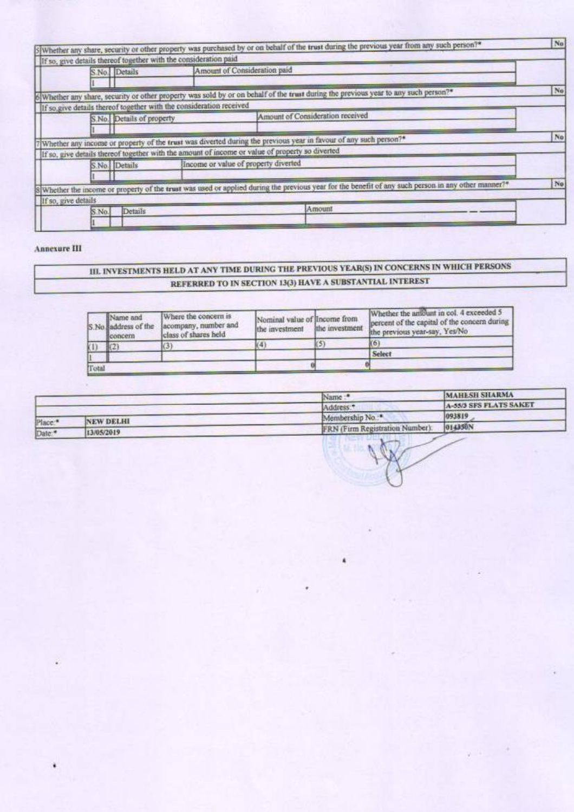| S.No. Details                                                        | Amount of Consideration paid                                                                                                                        |     |
|----------------------------------------------------------------------|-----------------------------------------------------------------------------------------------------------------------------------------------------|-----|
|                                                                      | 6 Whether any share, security or other property was sold by or on behalf of the trust during the previous year to any such person?*                 | No  |
| If so, give details thereof together with the consideration received |                                                                                                                                                     |     |
| S.No. Details of property                                            | Amount of Consideration received                                                                                                                    |     |
|                                                                      | 7] Whether any income or property of the trust was diverted during the previous year in favour of any such person?*                                 | No. |
|                                                                      | If so, give details thereof together with the amount of income or value of property so diverted                                                     |     |
|                                                                      | Income or value of property diverted                                                                                                                |     |
| S.No. Details                                                        |                                                                                                                                                     |     |
|                                                                      |                                                                                                                                                     | No. |
| If so, give details                                                  | S Whether the income or property of the trust was used or applied during the previous year for the benefit of any such person in any other manner?* |     |

### Annexure III

## III. INVESTMENTS HELD AT ANY TIME DURING THE PREVIOUS YEAR(S) IN CONCERNS IN WHICH PERSONS REFERRED TO IN SECTION 13(3) HAVE A SUBSTANTIAL INTEREST

|       | Name and<br>IS No saddress of the<br>ficoncern. | Where the concern is<br>acompany, number and<br>class of shares held | Nominal value of Income from<br>the investment | the investment | Whether the amount in col. 4 exceeded 5<br>percent of the capital of the concern during<br>the previous vear-say, Yes/No |
|-------|-------------------------------------------------|----------------------------------------------------------------------|------------------------------------------------|----------------|--------------------------------------------------------------------------------------------------------------------------|
|       | k2)                                             | (3)                                                                  |                                                | K5             | ľб                                                                                                                       |
|       |                                                 |                                                                      |                                                |                | Select                                                                                                                   |
| Total |                                                 |                                                                      |                                                |                |                                                                                                                          |

|                     |                  | Name:                                  | MAHESH SHARMA          |
|---------------------|------------------|----------------------------------------|------------------------|
|                     |                  | Address:"                              | A-55/3 SFS FLATS SAKET |
|                     | <b>NEW DELHI</b> | Membership No. <sup>**</sup>           | 093819                 |
| Place.*             |                  | <b>FRN</b> (Firm Registration Number). | 014350N                |
| Thate: <sup>*</sup> | 13/05/2019       |                                        |                        |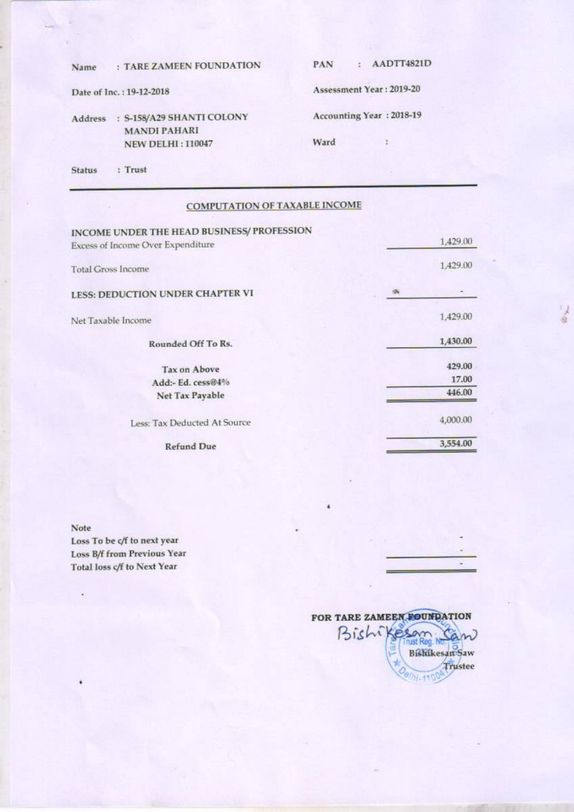| Name           | : TARE ZAMEEN FOUNDATION                             | AADTT4821D<br>PAN        |
|----------------|------------------------------------------------------|--------------------------|
|                | Date of Inc.: 19-12-2018                             | Assessment Year: 2019-20 |
| <b>Address</b> | S-158/A29 SHANTI COLONY<br>-2<br><b>MANDI PAHARI</b> | Accounting Year: 2018-19 |
|                | <b>NEW DELHI: 110047</b>                             | Ward                     |
| <b>Status</b>  | Trust                                                |                          |

## **COMPUTATION OF TAXABLE INCOME**

| INCOME UNDER THE HEAD BUSINESS/ PROFESSION |          |
|--------------------------------------------|----------|
| Excess of Income Over Expenditure          | 1,429.00 |
| <b>Total Gross Income</b>                  | 1,429.00 |
| LESS: DEDUCTION UNDER CHAPTER VI           |          |
| Net Taxable Income                         | 1,429.00 |
| Rounded Off To Rs.                         | 1,430.00 |
| <b>Tax on Above</b>                        | 429.00   |
| Add:- Ed. cess@4%                          | 17.00    |
| Net Tax Payable                            | 446.00   |
| Less: Tax Deducted At Source               | 4,000.00 |
| <b>Refund Due</b>                          | 3,554.00 |

Note Loss To be c/f to next year Loss B/f from Previous Year Total loss c/f to Next Year



 $\leq$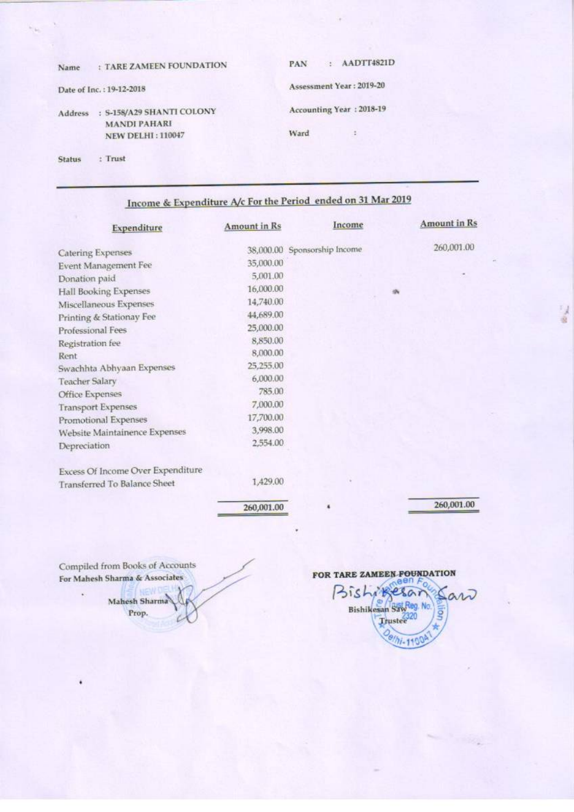| Name          | <b>TARE ZAMEEN FOUNDATION</b>                                                | AADTT4821D<br>PAN<br>24.2        |
|---------------|------------------------------------------------------------------------------|----------------------------------|
|               | Date of Inc.: 19-12-2018                                                     | Assessment Year: 2019-20         |
| Address       | : S-158/A29 SHANTI COLONY<br><b>MANDI PAHARI</b><br><b>NEW DELHI: 110047</b> | Accounting Year: 2018-19<br>Ward |
| <b>Status</b> | Trust                                                                        |                                  |

Income & Expenditure A/c For the Period ended on 31 Mar 2019

| Expenditure                         | Amount in Rs | Income                       | <b>Amount in Rs</b> |
|-------------------------------------|--------------|------------------------------|---------------------|
| <b>Catering Expenses</b>            |              | 38,000.00 Sponsorship Income | 260,001.00          |
| Event Management Fee                | 35,000.00    |                              |                     |
| Donation paid                       | 5,001.00     |                              |                     |
| Hall Booking Expenses               | 16,000.00    |                              | 咏                   |
| Miscellaneous Expenses              | 14,740.00    |                              |                     |
| Printing & Stationay Fee            | 44,689.00    |                              |                     |
| Professional Fees                   | 25,000.00    |                              |                     |
| Registration fee                    | 8,850.00     |                              |                     |
| Rent                                | 8,000.00     |                              |                     |
| Swachhta Abhyaan Expenses           | 25,255.00    |                              |                     |
| <b>Teacher Salary</b>               | 6,000.00     |                              |                     |
| <b>Office Expenses</b>              | 785.00       |                              |                     |
| <b>Transport Expenses</b>           | 7,000.00     |                              |                     |
| Promotional Expenses                | 17,700.00    |                              |                     |
| Website Maintainence Expenses       | 3,998.00     |                              |                     |
| Depreciation                        | 2,554.00     |                              |                     |
| Excess Of Income Over Expenditure   |              |                              |                     |
| <b>Transferred To Balance Sheet</b> | 1,429.00     |                              |                     |
|                                     | 260,001.00   |                              | 260,001.00          |

Compiled from Books of Accounts For Mahesh Sharma & Associates

FOR TARE ZAMEEN FOUNDATION Bishikesar art Bishikesan SawReg. No. g Trustee<sup>2320</sup> Oelhi-1100

 $\frac{1}{2}$ 

Mahesh Sharma Prop.

٠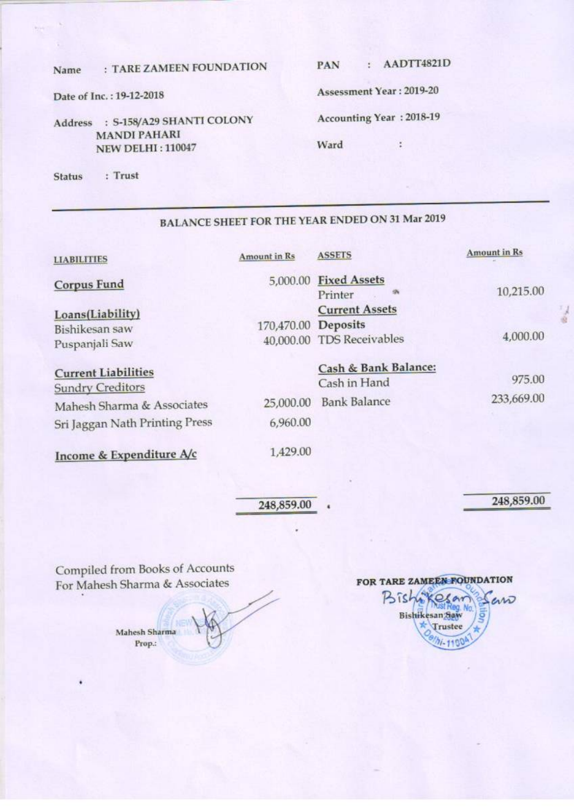#### : TARE ZAMEEN FOUNDATION Name

: AADTT4821D PAN

÷

Date of Inc.: 19-12-2018

## Address : S-158/A29 SHANTI COLONY **MANDI PAHARI NEW DELHI: 110047**

Assessment Year: 2019-20

Accounting Year: 2018-19

Ward

: Trust **Status** 

## **BALANCE SHEET FOR THE YEAR ENDED ON 31 Mar 2019**

| <b>Amount in Rs</b>   | <b>ASSETS</b>                                               | Amount in Rs                                                              |
|-----------------------|-------------------------------------------------------------|---------------------------------------------------------------------------|
|                       | Printer                                                     | 10,215.00                                                                 |
|                       | <b>Current Assets</b>                                       | 4,000.00                                                                  |
| 25,000.00<br>6,960.00 | Cash & Bank Balance:<br>Cash in Hand<br><b>Bank Balance</b> | 975.00<br>233,669.00                                                      |
|                       |                                                             | 5,000.00 Fixed Assets<br>170,470.00 Deposits<br>40,000.00 TDS Receivables |

Income & Expenditure A/c

1,429.00

248,859.00

248,859.00

 $\frac{1}{2}$ 

Compiled from Books of Accounts For Mahesh Sharma & Associates

Mahesh Sharma Prop.:

FOR TARE ZAMEEN FOUNDATION Bish esar erro Bishikesan Saw Trustee  $1 - 1100$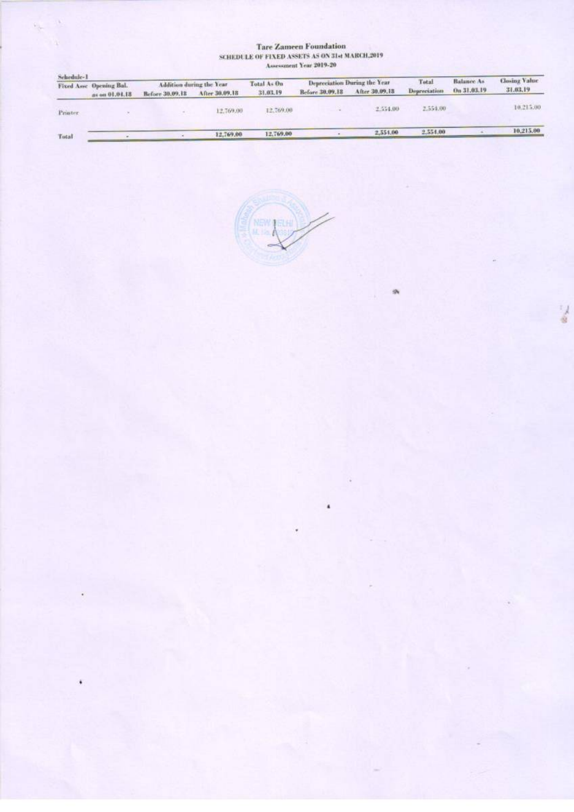#### **Tare Zameen Foundation** SCHEDULE OF FIXED ASSETS AS ON 31st MARCH,2019 Assessment Year 2019-20

ó,

Ń.

| Schedule-1<br>Fixed Asse Opening Bal. |                | Addition during the Year |                | Total As On | Depreciation During the Year |                | Total        | Balance As  | <b>Closing Value</b> |
|---------------------------------------|----------------|--------------------------|----------------|-------------|------------------------------|----------------|--------------|-------------|----------------------|
|                                       | as on 01.01.18 | Before 30,09.18          | After 30,09,18 | 31.03.19    | Before 30,09,18              | After 30,09,18 | Depreciation | On 31,03,19 | 31.03.19             |
| Printer.                              |                |                          | 12,769.00      | 12,769.00   |                              | 2.554.00       | 2.554.00     |             | 10.215.00            |
| Total                                 |                |                          | 12,769.00      | 12,769.00   |                              | 2,551.00       | 2.554.00     |             | 10,215.00            |

 $\overline{\phantom{a}}$ 

外

 $\frac{1}{2}$